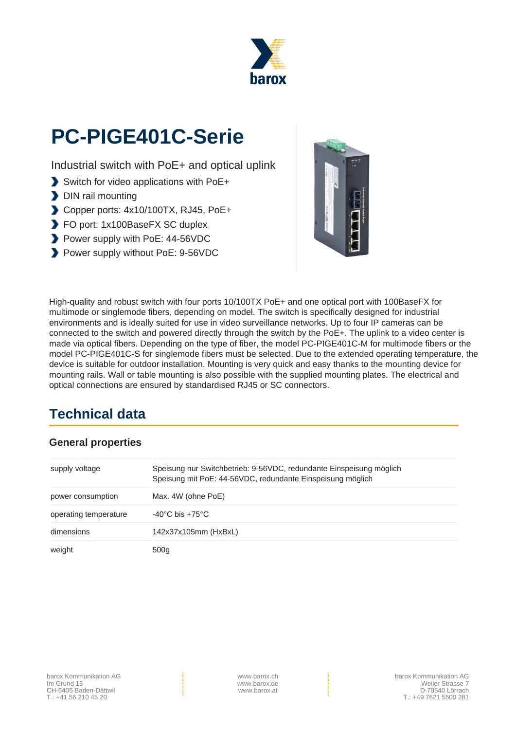

# **PC-PIGE401C-Serie**

Industrial switch with PoE+ and optical uplink

- Switch for video applications with PoE+
- DIN rail mounting
- Copper ports: 4x10/100TX, RJ45, PoE+
- FO port: 1x100BaseFX SC duplex
- Power supply with PoE: 44-56VDC
- Power supply without PoE: 9-56VDC



High-quality and robust switch with four ports 10/100TX PoE+ and one optical port with 100BaseFX for multimode or singlemode fibers, depending on model. The switch is specifically designed for industrial environments and is ideally suited for use in video surveillance networks. Up to four IP cameras can be connected to the switch and powered directly through the switch by the PoE+. The uplink to a video center is made via optical fibers. Depending on the type of fiber, the model PC-PIGE401C-M for multimode fibers or the model PC-PIGE401C-S for singlemode fibers must be selected. Due to the extended operating temperature, the device is suitable for outdoor installation. Mounting is very quick and easy thanks to the mounting device for mounting rails. Wall or table mounting is also possible with the supplied mounting plates. The electrical and optical connections are ensured by standardised RJ45 or SC connectors.

### **Technical data**

#### **General properties**

| supply voltage        | Speisung nur Switchbetrieb: 9-56VDC, redundante Einspeisung möglich<br>Speisung mit PoE: 44-56VDC, redundante Einspeisung möglich |  |
|-----------------------|-----------------------------------------------------------------------------------------------------------------------------------|--|
| power consumption     | Max. 4W (ohne PoE)                                                                                                                |  |
| operating temperature | $-40^{\circ}$ C bis $+75^{\circ}$ C                                                                                               |  |
| dimensions            | 142x37x105mm (HxBxL)                                                                                                              |  |
| weight                | 500 <sub>q</sub>                                                                                                                  |  |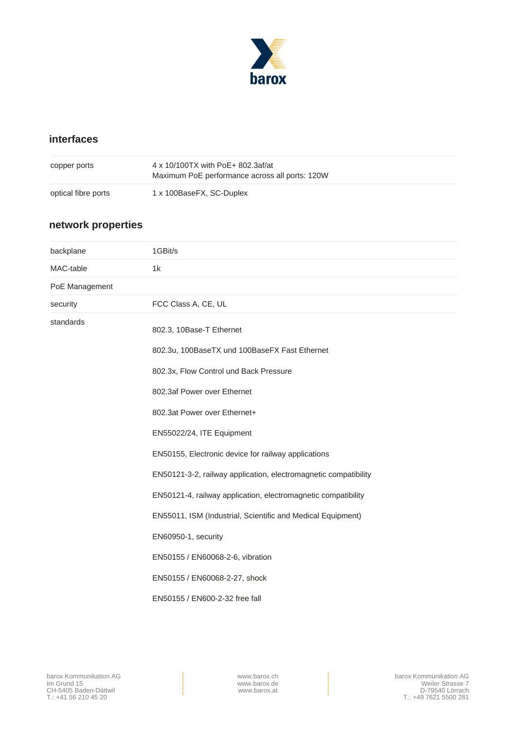

### **interfaces**

| copper ports        | 4 x 10/100TX with PoE+ 802.3af/at<br>Maximum PoE performance across all ports: 120W |
|---------------------|-------------------------------------------------------------------------------------|
| optical fibre ports | 1 x 100BaseFX, SC-Duplex                                                            |

### **network properties**

| backplane      | 1GBit/s                                                         |  |  |
|----------------|-----------------------------------------------------------------|--|--|
| MAC-table      | 1k                                                              |  |  |
| PoE Management |                                                                 |  |  |
| security       | FCC Class A, CE, UL                                             |  |  |
| standards      | 802.3, 10Base-T Ethernet                                        |  |  |
|                | 802.3u, 100BaseTX und 100BaseFX Fast Ethernet                   |  |  |
|                | 802.3x, Flow Control und Back Pressure                          |  |  |
|                | 802.3af Power over Ethernet                                     |  |  |
|                | 802.3at Power over Ethernet+                                    |  |  |
|                | EN55022/24, ITE Equipment                                       |  |  |
|                | EN50155, Electronic device for railway applications             |  |  |
|                | EN50121-3-2, railway application, electromagnetic compatibility |  |  |
|                | EN50121-4, railway application, electromagnetic compatibility   |  |  |
|                | EN55011, ISM (Industrial, Scientific and Medical Equipment)     |  |  |
|                | EN60950-1, security                                             |  |  |
|                | EN50155 / EN60068-2-6, vibration                                |  |  |
|                | EN50155 / EN60068-2-27, shock                                   |  |  |
|                | EN50155 / EN600-2-32 free fall                                  |  |  |